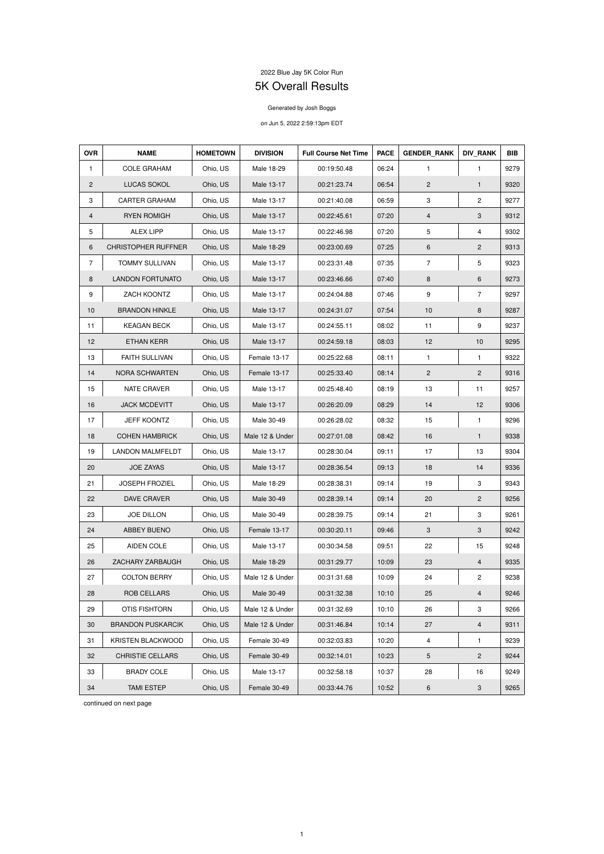## 2022 Blue Jay 5K Color Run

## 5K Overall Results

## Generated by Josh Boggs

## on Jun 5, 2022 2:59:13pm EDT

| <b>OVR</b>     | <b>NAME</b>                | <b>HOMETOWN</b> | <b>DIVISION</b> | <b>Full Course Net Time</b> | <b>PACE</b> | <b>GENDER RANK</b> | <b>DIV RANK</b>         | <b>BIB</b> |
|----------------|----------------------------|-----------------|-----------------|-----------------------------|-------------|--------------------|-------------------------|------------|
| $\mathbf{1}$   | <b>COLE GRAHAM</b>         | Ohio, US        | Male 18-29      | 00:19:50.48                 | 06:24       | 1                  | $\mathbf{1}$            | 9279       |
| $\overline{2}$ | <b>LUCAS SOKOL</b>         | Ohio, US        | Male 13-17      | 00:21:23.74                 | 06:54       | $\overline{c}$     | $\mathbf{1}$            | 9320       |
| 3              | <b>CARTER GRAHAM</b>       | Ohio, US        | Male 13-17      | 00:21:40.08                 | 06:59       | 3                  | $\mathbf{2}$            | 9277       |
| 4              | <b>RYEN ROMIGH</b>         | Ohio, US        | Male 13-17      | 00:22:45.61                 | 07:20       | $\overline{4}$     | 3                       | 9312       |
| 5              | <b>ALEX LIPP</b>           | Ohio, US        | Male 13-17      | 00:22:46.98                 | 07:20       | 5                  | 4                       | 9302       |
| 6              | <b>CHRISTOPHER RUFFNER</b> | Ohio, US        | Male 18-29      | 00:23:00.69                 | 07:25       | 6                  | $\mathbf{2}$            | 9313       |
| $\overline{7}$ | <b>TOMMY SULLIVAN</b>      | Ohio, US        | Male 13-17      | 00:23:31.48                 | 07:35       | $\overline{7}$     | 5                       | 9323       |
| 8              | <b>LANDON FORTUNATO</b>    | Ohio, US        | Male 13-17      | 00:23:46.66                 | 07:40       | 8                  | 6                       | 9273       |
| 9              | ZACH KOONTZ                | Ohio, US        | Male 13-17      | 00:24:04.88                 | 07:46       | 9                  | $\overline{7}$          | 9297       |
| 10             | <b>BRANDON HINKLE</b>      | Ohio, US        | Male 13-17      | 00:24:31.07                 | 07:54       | 10                 | 8                       | 9287       |
| 11             | <b>KEAGAN BECK</b>         | Ohio, US        | Male 13-17      | 00:24:55.11                 | 08:02       | 11                 | 9                       | 9237       |
| 12             | <b>ETHAN KERR</b>          | Ohio, US        | Male 13-17      | 00:24:59.18                 | 08:03       | 12                 | 10                      | 9295       |
| 13             | <b>FAITH SULLIVAN</b>      | Ohio, US        | Female 13-17    | 00:25:22.68                 | 08:11       | $\mathbf{1}$       | $\mathbf{1}$            | 9322       |
| 14             | NORA SCHWARTEN             | Ohio, US        | Female 13-17    | 00:25:33.40                 | 08:14       | $\overline{c}$     | $\overline{c}$          | 9316       |
| 15             | NATE CRAVER                | Ohio, US        | Male 13-17      | 00:25:48.40                 | 08:19       | 13                 | 11                      | 9257       |
| 16             | <b>JACK MCDEVITT</b>       | Ohio, US        | Male 13-17      | 00:26:20.09                 | 08:29       | 14                 | 12                      | 9306       |
| 17             | <b>JEFF KOONTZ</b>         | Ohio, US        | Male 30-49      | 00:26:28.02                 | 08:32       | 15                 | $\mathbf{1}$            | 9296       |
| 18             | <b>COHEN HAMBRICK</b>      | Ohio, US        | Male 12 & Under | 00:27:01.08                 | 08:42       | 16                 | $\mathbf{1}$            | 9338       |
| 19             | <b>LANDON MALMFELDT</b>    | Ohio, US        | Male 13-17      | 00:28:30.04                 | 09:11       | 17                 | 13                      | 9304       |
| 20             | <b>JOE ZAYAS</b>           | Ohio, US        | Male 13-17      | 00:28:36.54                 | 09:13       | 18                 | 14                      | 9336       |
| 21             | <b>JOSEPH FROZIEL</b>      | Ohio, US        | Male 18-29      | 00:28:38.31                 | 09:14       | 19                 | 3                       | 9343       |
| 22             | DAVE CRAVER                | Ohio, US        | Male 30-49      | 00:28:39.14                 | 09:14       | 20                 | $\overline{2}$          | 9256       |
| 23             | <b>JOE DILLON</b>          | Ohio, US        | Male 30-49      | 00:28:39.75                 | 09:14       | 21                 | 3                       | 9261       |
| 24             | ABBEY BUENO                | Ohio, US        | Female 13-17    | 00:30:20.11                 | 09:46       | 3                  | 3                       | 9242       |
| 25             | AIDEN COLE                 | Ohio, US        | Male 13-17      | 00:30:34.58                 | 09:51       | 22                 | 15                      | 9248       |
| 26             | ZACHARY ZARBAUGH           | Ohio, US        | Male 18-29      | 00:31:29.77                 | 10:09       | 23                 | 4                       | 9335       |
| 27             | <b>COLTON BERRY</b>        | Ohio, US        | Male 12 & Under | 00:31:31.68                 | 10:09       | 24                 | $\overline{c}$          | 9238       |
| 28             | <b>ROB CELLARS</b>         | Ohio, US        | Male 30-49      | 00:31:32.38                 | 10:10       | 25                 | $\overline{4}$          | 9246       |
| 29             | <b>OTIS FISHTORN</b>       | Ohio, US        | Male 12 & Under | 00:31:32.69                 | 10:10       | 26                 | 3                       | 9266       |
| 30             | <b>BRANDON PUSKARCIK</b>   | Ohio, US        | Male 12 & Under | 00:31:46.84                 | 10:14       | 27                 | $\overline{\mathbf{4}}$ | 9311       |
| 31             | KRISTEN BLACKWOOD          | Ohio, US        | Female 30-49    | 00:32:03.83                 | 10:20       | 4                  | 1                       | 9239       |
| 32             | <b>CHRISTIE CELLARS</b>    | Ohio, US        | Female 30-49    | 00:32:14.01                 | 10:23       | 5                  | $\overline{2}$          | 9244       |
| 33             | <b>BRADY COLE</b>          | Ohio, US        | Male 13-17      | 00:32:58.18                 | 10:37       | 28                 | 16                      | 9249       |
| 34             | <b>TAMI ESTEP</b>          | Ohio, US        | Female 30-49    | 00:33:44.76                 | 10:52       | 6                  | 3                       | 9265       |

continued on next page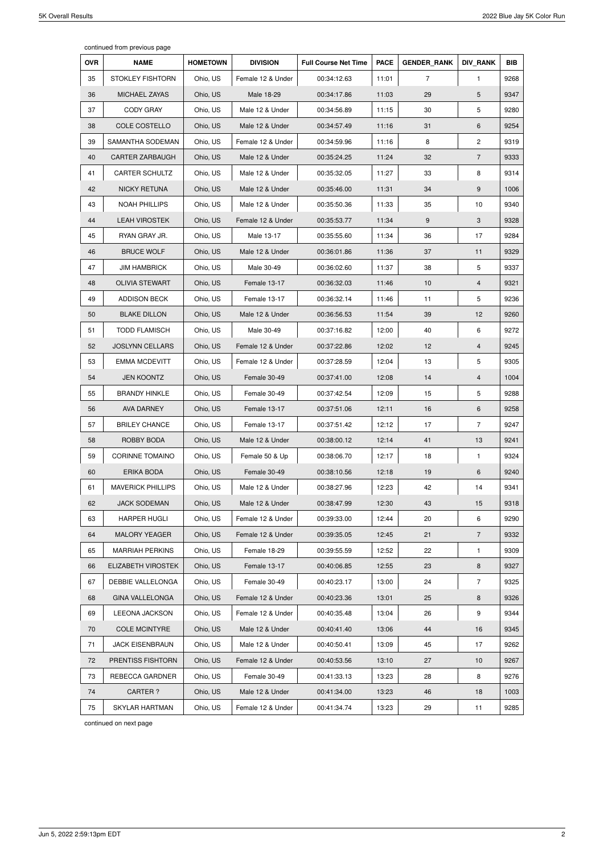continued from previous page

| <b>OVR</b> | <b>NAME</b>              | <b>HOMETOWN</b> | <b>DIVISION</b>   | <b>Full Course Net Time</b> | <b>PACE</b> | <b>GENDER RANK</b> | <b>DIV RANK</b> | <b>BIB</b> |
|------------|--------------------------|-----------------|-------------------|-----------------------------|-------------|--------------------|-----------------|------------|
| 35         | <b>STOKLEY FISHTORN</b>  | Ohio, US        | Female 12 & Under | 00:34:12.63                 | 11:01       | $\overline{7}$     | $\mathbf{1}$    | 9268       |
| 36         | MICHAEL ZAYAS            | Ohio, US        | Male 18-29        | 00:34:17.86                 | 11:03       | 29                 | 5               | 9347       |
| 37         | <b>CODY GRAY</b>         | Ohio, US        | Male 12 & Under   | 00:34:56.89                 | 11:15       | 30                 | 5               | 9280       |
| 38         | COLE COSTELLO            | Ohio, US        | Male 12 & Under   | 00:34:57.49                 | 11:16       | 31                 | 6               | 9254       |
| 39         | SAMANTHA SODEMAN         | Ohio, US        | Female 12 & Under | 00:34:59.96                 | 11:16       | 8                  | $\mathbf{2}$    | 9319       |
| 40         | <b>CARTER ZARBAUGH</b>   | Ohio, US        | Male 12 & Under   | 00:35:24.25                 | 11:24       | 32                 | $\overline{7}$  | 9333       |
| 41         | <b>CARTER SCHULTZ</b>    | Ohio, US        | Male 12 & Under   | 00:35:32.05                 | 11:27       | 33                 | 8               | 9314       |
| 42         | <b>NICKY RETUNA</b>      | Ohio, US        | Male 12 & Under   | 00:35:46.00                 | 11:31       | 34                 | $9\,$           | 1006       |
| 43         | <b>NOAH PHILLIPS</b>     | Ohio, US        | Male 12 & Under   | 00:35:50.36                 | 11:33       | 35                 | 10              | 9340       |
| 44         | <b>LEAH VIROSTEK</b>     | Ohio, US        | Female 12 & Under | 00:35:53.77                 | 11:34       | 9                  | 3               | 9328       |
| 45         | RYAN GRAY JR.            | Ohio, US        | Male 13-17        | 00:35:55.60                 | 11:34       | 36                 | 17              | 9284       |
| 46         | <b>BRUCE WOLF</b>        | Ohio, US        | Male 12 & Under   | 00:36:01.86                 | 11:36       | 37                 | 11              | 9329       |
| 47         | <b>JIM HAMBRICK</b>      | Ohio, US        | Male 30-49        | 00:36:02.60                 | 11:37       | 38                 | 5               | 9337       |
| 48         | <b>OLIVIA STEWART</b>    | Ohio, US        | Female 13-17      | 00:36:32.03                 | 11:46       | 10                 | $\overline{4}$  | 9321       |
| 49         | ADDISON BECK             | Ohio, US        | Female 13-17      | 00:36:32.14                 | 11:46       | 11                 | 5               | 9236       |
| 50         | <b>BLAKE DILLON</b>      | Ohio, US        | Male 12 & Under   | 00:36:56.53                 | 11:54       | 39                 | 12              | 9260       |
| 51         | <b>TODD FLAMISCH</b>     | Ohio, US        | Male 30-49        | 00:37:16.82                 | 12:00       | 40                 | 6               | 9272       |
| 52         | <b>JOSLYNN CELLARS</b>   | Ohio, US        | Female 12 & Under | 00:37:22.86                 | 12:02       | 12                 | $\overline{4}$  | 9245       |
| 53         | <b>EMMA MCDEVITT</b>     | Ohio, US        | Female 12 & Under | 00:37:28.59                 | 12:04       | 13                 | 5               | 9305       |
| 54         | <b>JEN KOONTZ</b>        | Ohio, US        | Female 30-49      | 00:37:41.00                 | 12:08       | 14                 | $\overline{4}$  | 1004       |
| 55         | <b>BRANDY HINKLE</b>     | Ohio, US        | Female 30-49      | 00:37:42.54                 | 12:09       | 15                 | 5               | 9288       |
| 56         | AVA DARNEY               | Ohio, US        | Female 13-17      | 00:37:51.06                 | 12:11       | 16                 | 6               | 9258       |
| 57         | <b>BRILEY CHANCE</b>     | Ohio, US        | Female 13-17      | 00:37:51.42                 | 12:12       | 17                 | $\overline{7}$  | 9247       |
| 58         | ROBBY BODA               | Ohio, US        | Male 12 & Under   | 00:38:00.12                 | 12:14       | 41                 | 13              | 9241       |
| 59         | <b>CORINNE TOMAINO</b>   | Ohio, US        | Female 50 & Up    | 00:38:06.70                 | 12:17       | 18                 | 1               | 9324       |
| 60         | ERIKA BODA               | Ohio, US        | Female 30-49      | 00:38:10.56                 | 12:18       | 19                 | 6               | 9240       |
| 61         | <b>MAVERICK PHILLIPS</b> | Ohio, US        | Male 12 & Under   | 00:38:27.96                 | 12:23       | 42                 | 14              | 9341       |
| 62         | <b>JACK SODEMAN</b>      | Ohio, US        | Male 12 & Under   | 00:38:47.99                 | 12:30       | 43                 | 15              | 9318       |
| 63         | <b>HARPER HUGLI</b>      | Ohio, US        | Female 12 & Under | 00:39:33.00                 | 12:44       | 20                 | 6               | 9290       |
| 64         | <b>MALORY YEAGER</b>     | Ohio, US        | Female 12 & Under | 00:39:35.05                 | 12:45       | 21                 | $\overline{7}$  | 9332       |
| 65         | <b>MARRIAH PERKINS</b>   | Ohio, US        | Female 18-29      | 00:39:55.59                 | 12:52       | 22                 | 1               | 9309       |
| 66         | ELIZABETH VIROSTEK       | Ohio, US        | Female 13-17      | 00:40:06.85                 | 12:55       | 23                 | 8               | 9327       |
| 67         | DEBBIE VALLELONGA        | Ohio, US        | Female 30-49      | 00:40:23.17                 | 13:00       | 24                 | $\overline{7}$  | 9325       |
| 68         | <b>GINA VALLELONGA</b>   | Ohio, US        | Female 12 & Under | 00:40:23.36                 | 13:01       | 25                 | 8               | 9326       |
| 69         | <b>LEEONA JACKSON</b>    | Ohio, US        | Female 12 & Under | 00:40:35.48                 | 13:04       | 26                 | 9               | 9344       |
| 70         | <b>COLE MCINTYRE</b>     | Ohio, US        | Male 12 & Under   | 00:40:41.40                 | 13:06       | 44                 | 16              | 9345       |
| 71         | <b>JACK EISENBRAUN</b>   | Ohio, US        | Male 12 & Under   | 00:40:50.41                 | 13:09       | 45                 | 17              | 9262       |
| 72         | PRENTISS FISHTORN        | Ohio, US        | Female 12 & Under | 00:40:53.56                 | 13:10       | 27                 | 10              | 9267       |
| 73         | REBECCA GARDNER          | Ohio, US        | Female 30-49      | 00:41:33.13                 | 13:23       | 28                 | 8               | 9276       |
| 74         | <b>CARTER?</b>           | Ohio, US        | Male 12 & Under   | 00:41:34.00                 | 13:23       | 46                 | 18              | 1003       |
| 75         | <b>SKYLAR HARTMAN</b>    | Ohio, US        | Female 12 & Under | 00:41:34.74                 | 13:23       | 29                 | 11              | 9285       |

continued on next page